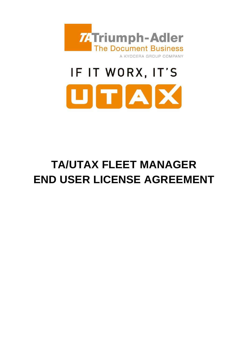

# IF IT WORX, IT'S UTAX

# **TA/UTAX FLEET MANAGER END USER LICENSE AGREEMENT**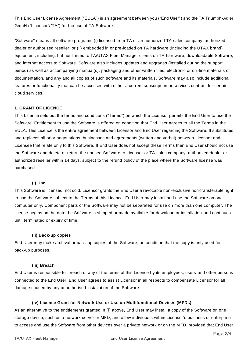This End User License Agreement ("EULA") is an agreement between you ("End User") and the TA Triumph-Adler GmbH ("Licensor"/"TA") for the use of TA Software.

"Software" means all software programs (i) licensed from TA or an authorized TA sales company, authorized dealer or authorized reseller, or (ii) embedded in or pre-loaded on TA hardware (including the UTAX brand) equipment, including, but not limited to TA/UTAX Fleet Manager clients on TA hardware, downloadable Software, and internet access to Software. Software also includes updates and upgrades (installed during the support period) as well as accompanying manual(s), packaging and other written files, electronic or on -line materials or documentation, and any and all copies of such software and its materials. Software may also include additional features or functionality that can be accessed with either a current subscription or services contract for certain cloud services.

## **1. GRANT OF LICENCE**

This Licence sets out the terms and conditions ("Terms") on which the Licensor permits the End User to use the Software. Entitlement to use the Software is offered on condition that End User agrees to all the Terms in the EULA. This Licence is the entire agreement between Licensor and End User regarding the Software. It substitutes and replaces all prior negotiations, businesses and agreements (written and verbal) between Licensor and Licensee that relate only to this Software. If End User does not accept these Terms then End User should not use the Software and delete or return the unused Software to Licensor or TA sales company, authorized dealer or authorized reseller within 14 days, subject to the refund policy of the place where the Software lice nse was purchased.

#### **(i) Use**

This Software is licensed, not sold. Licensor grants the End User a revocable non-exclusive non-transferable right to use the Software subject to the Terms of this Licence. End User may install and use the Software on one computer only. Component parts of the Software may not be separated for use on more than one computer. The license begins on the date the Software is shipped or made available for download or installation and continues until terminated or expiry of time.

#### **(ii) Back-up copies**

End User may make archival or back-up copies of the Software, on condition that the copy is only used for back-up purposes.

#### **(iii) Breach**

End User is responsible for breach of any of the terms of this Licence by its employees, users and other persons connected to the End User. End User agrees to assist Licensor in all respects to compensate Licensor for all damage caused by any unauthorised installation of the Software.

#### **(iv) License Grant for Network Use or Use on Multifunctional Devices (MFDs)**

As an alternative to the entitlements granted in (i) above, End User may install a copy of the Software on one storage device, such as a network server or MFD, and allow individuals within Licensor's business or enterprise to access and use the Software from other devices over a private network or on the MFD, provided that End User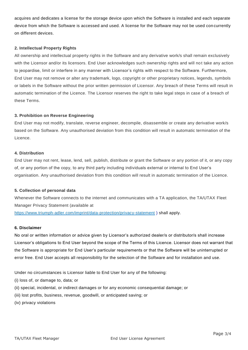acquires and dedicates a license for the storage device upon which the Software is installed and each separate device from which the Software is accessed and used. A license for the Software may not be used con currently on different devices.

#### **2. Intellectual Property Rights**

All ownership and intellectual property rights in the Software and any derivative work/s shall remain exclusively with the Licensor and/or its licensors. End User acknowledges such ownership rights and will not take any action to jeopardise, limit or interfere in any manner with Licensor's rights with respect to the Software. Furthermore, End User may not remove or alter any trademark, logo, copyright or other proprietary notices, legends, symbols or labels in the Software without the prior written permission of Licensor. Any breach of these Terms will result in automatic termination of the Licence. The Licensor reserves the right to take legal steps in case of a breach of these Terms.

#### **3. Prohibition on Reverse Engineering**

End User may not modify, translate, reverse engineer, decompile, disassemble or create any derivative work/s based on the Software. Any unauthorised deviation from this condition will result in automatic termination of the Licence.

#### **4. Distribution**

End User may not rent, lease, lend, sell, publish, distribute or grant the Software or any portion of it, or any copy of, or any portion of the copy, to any third party including individuals external or internal to End User's organisation. Any unauthorised deviation from this condition will result in automatic termination of the Licence.

#### **5. Collection of personal data**

Whenever the Software connects to the internet and communicates with a TA application, the TA/UTAX Fleet Manager Privacy Statement (available at <https://www.triumph-adler.com/imprint/data-protection/privacy-statement> ) shall apply.

#### **6. Disclaimer**

No oral or written information or advice given by Licensor's authorized dealer/s or distributor/s shall increase Licensor's obligations to End User beyond the scope of the Terms of this Licence. Licensor does not warrant that the Software is appropriate for End User's particular requirements or that the Software will be uninterrupted or error free. End User accepts all responsibility for the selection of the Software and for installation and use.

Under no circumstances is Licensor liable to End User for any of the following:

- (i) loss of, or damage to, data; or
- (ii) special, incidental, or indirect damages or for any economic consequential damage; or
- (iii) lost profits, business, revenue, goodwill, or anticipated saving; or
- (iv) privacy violations